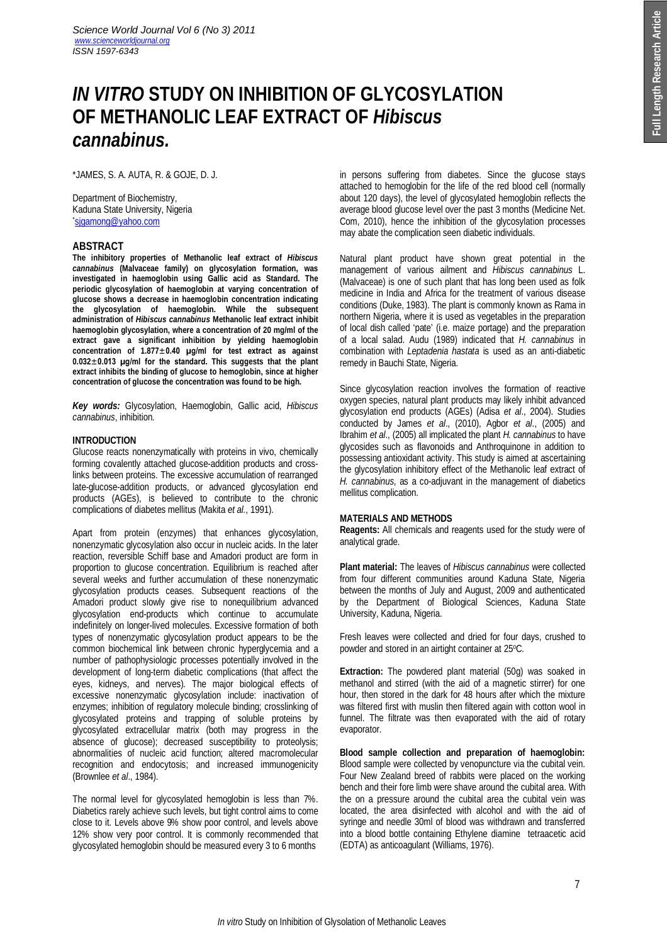# *IN VITRO* **STUDY ON INHIBITION OF GLYCOSYLATION OF METHANOLIC LEAF EXTRACT OF** *Hibiscus cannabinus.*

\*JAMES, S. A. AUTA, R. & GOJE, D. J.

Department of Biochemistry, Kaduna State University, Nigeria \*sjgamong@yahoo.com

## **ABSTRACT**

**The inhibitory properties of Methanolic leaf extract of** *Hibiscus cannabinus* **(Malvaceae family) on glycosylation formation, was investigated in haemoglobin using Gallic acid as Standard. The periodic glycosylation of haemoglobin at varying concentration of glucose shows a decrease in haemoglobin concentration indicating the glycosylation of haemoglobin. While the subsequent administration of** *Hibiscus cannabinus* **Methanolic leaf extract inhibit haemoglobin glycosylation, where a concentration of 20 mg/ml of the extract gave a significant inhibition by yielding haemoglobin concentration of 1.877**±**0.40 µg/ml for test extract as against 0.032**±**0.013 µg/ml for the standard. This suggests that the plant extract inhibits the binding of glucose to hemoglobin, since at higher concentration of glucose the concentration was found to be high.** 

*Key words:* Glycosylation, Haemoglobin, Gallic acid, *Hibiscus cannabinus*, inhibition.

## **INTRODUCTION**

Glucose reacts nonenzymatically with proteins in vivo, chemically forming covalently attached glucose-addition products and crosslinks between proteins. The excessive accumulation of rearranged late-glucose-addition products, or advanced glycosylation end products (AGEs), is believed to contribute to the chronic complications of diabetes mellitus (Makita *et al.*, 1991).

Apart from protein (enzymes) that enhances glycosylation, nonenzymatic glycosylation also occur in nucleic acids. In the later reaction, reversible Schiff base and Amadori product are form in proportion to glucose concentration. Equilibrium is reached after several weeks and further accumulation of these nonenzymatic glycosylation products ceases. Subsequent reactions of the Amadori product slowly give rise to nonequilibrium advanced glycosylation end-products which continue to accumulate indefinitely on longer-lived molecules. Excessive formation of both types of nonenzymatic glycosylation product appears to be the common biochemical link between chronic hyperglycemia and a number of pathophysiologic processes potentially involved in the development of long-term diabetic complications (that affect the eyes, kidneys, and nerves). The major biological effects of excessive nonenzymatic glycosylation include: inactivation of enzymes; inhibition of regulatory molecule binding; crosslinking of glycosylated proteins and trapping of soluble proteins by glycosylated extracellular matrix (both may progress in the absence of glucose); decreased susceptibility to proteolysis; abnormalities of nucleic acid function; altered macromolecular recognition and endocytosis; and increased immunogenicity (Brownlee *et al*., 1984).

The normal level for glycosylated hemoglobin is less than 7%. Diabetics rarely achieve such levels, but tight control aims to come close to it. Levels above 9% show poor control, and levels above 12% show very poor control. It is commonly recommended that glycosylated hemoglobin should be measured every 3 to 6 months

in persons suffering from diabetes. Since the glucose stays attached to hemoglobin for the life of the red blood cell (normally about 120 days), the level of glycosylated hemoglobin reflects the average blood glucose level over the past 3 months (Medicine Net. Com, 2010), hence the inhibition of the glycosylation processes may abate the complication seen diabetic individuals.

Natural plant product have shown great potential in the management of various ailment and *Hibiscus cannabinus* L. (Malvaceae) is one of such plant that has long been used as folk medicine in India and Africa for the treatment of various disease conditions (Duke, 1983). The plant is commonly known as Rama in northern Nigeria, where it is used as vegetables in the preparation of local dish called 'pate' (i.e. maize portage) and the preparation of a local salad. Audu (1989) indicated that *H. cannabinus* in combination with *Leptadenia hastata* is used as an anti-diabetic remedy in Bauchi State, Nigeria.

Since glycosylation reaction involves the formation of reactive oxygen species, natural plant products may likely inhibit advanced glycosylation end products (AGEs) (Adisa *et al*., 2004). Studies conducted by James *et al*., (2010), Agbor *et al*., (2005) and Ibrahim *et al*., (2005) all implicated the plant *H. cannabinus* to have glycosides such as flavonoids and Anthroquinone in addition to possessing antioxidant activity. This study is aimed at ascertaining the glycosylation inhibitory effect of the Methanolic leaf extract of *H. cannabinus*, as a co-adjuvant in the management of diabetics mellitus complication.

#### **MATERIALS AND METHODS**

**Reagents:** All chemicals and reagents used for the study were of analytical grade.

**Plant material:** The leaves of *Hibiscus cannabinus* were collected from four different communities around Kaduna State, Nigeria between the months of July and August, 2009 and authenticated by the Department of Biological Sciences, Kaduna State University, Kaduna, Nigeria.

Fresh leaves were collected and dried for four days, crushed to powder and stored in an airtight container at 25°C.

**Extraction:** The powdered plant material (50g) was soaked in methanol and stirred (with the aid of a magnetic stirrer) for one hour, then stored in the dark for 48 hours after which the mixture was filtered first with muslin then filtered again with cotton wool in funnel. The filtrate was then evaporated with the aid of rotary evaporator.

**Blood sample collection and preparation of haemoglobin:** Blood sample were collected by venopuncture via the cubital vein. Four New Zealand breed of rabbits were placed on the working bench and their fore limb were shave around the cubital area. With the on a pressure around the cubital area the cubital vein was located, the area disinfected with alcohol and with the aid of syringe and needle 30ml of blood was withdrawn and transferred into a blood bottle containing Ethylene diamine tetraacetic acid (EDTA) as anticoagulant (Williams, 1976).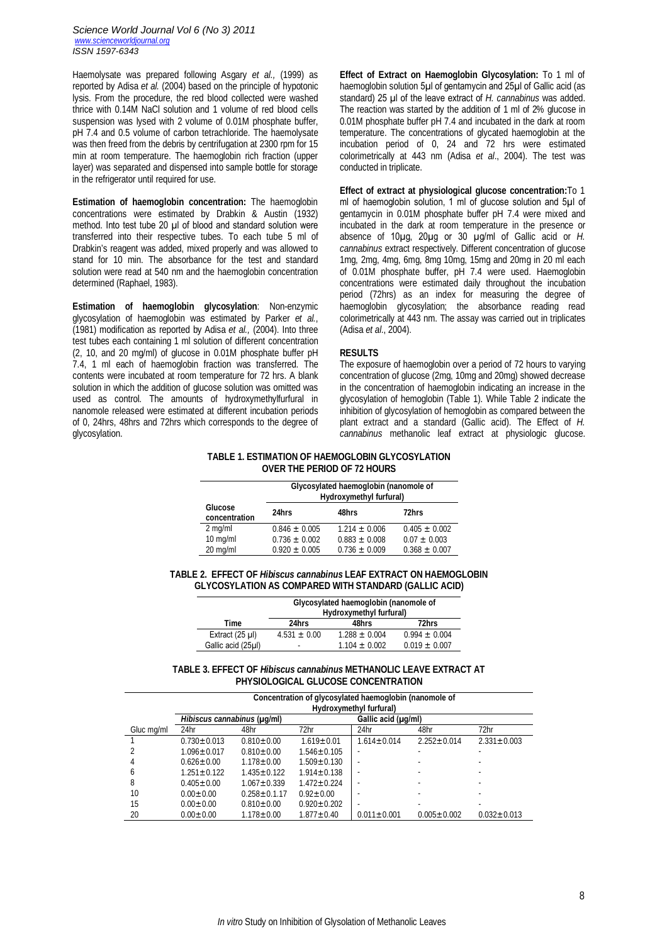Haemolysate was prepared following Asgary *et al.,* (1999) as reported by Adisa *et al.* (2004) based on the principle of hypotonic lysis. From the procedure, the red blood collected were washed thrice with 0.14M NaCl solution and 1 volume of red blood cells suspension was lysed with 2 volume of 0.01M phosphate buffer, pH 7.4 and 0.5 volume of carbon tetrachloride. The haemolysate was then freed from the debris by centrifugation at 2300 rpm for 15 min at room temperature. The haemoglobin rich fraction (upper layer) was separated and dispensed into sample bottle for storage in the refrigerator until required for use.

**Estimation of haemoglobin concentration:** The haemoglobin concentrations were estimated by Drabkin & Austin (1932) method. Into test tube 20 µl of blood and standard solution were transferred into their respective tubes. To each tube 5 ml of Drabkin's reagent was added, mixed properly and was allowed to stand for 10 min. The absorbance for the test and standard solution were read at 540 nm and the haemoglobin concentration determined (Raphael, 1983).

**Estimation of haemoglobin glycosylation**: Non-enzymic glycosylation of haemoglobin was estimated by Parker *et al.*, (1981) modification as reported by Adisa *et al.,* (2004). Into three test tubes each containing 1 ml solution of different concentration (2, 10, and 20 mg/ml) of glucose in 0.01M phosphate buffer pH 7.4, 1 ml each of haemoglobin fraction was transferred. The contents were incubated at room temperature for 72 hrs. A blank solution in which the addition of glucose solution was omitted was used as control. The amounts of hydroxymethylfurfural in nanomole released were estimated at different incubation periods of 0, 24hrs, 48hrs and 72hrs which corresponds to the degree of glycosylation.

**Effect of Extract on Haemoglobin Glycosylation:** To 1 ml of haemoglobin solution 5µl of gentamycin and 25µl of Gallic acid (as standard) 25 µl of the leave extract of *H. cannabinus* was added. The reaction was started by the addition of 1 ml of 2% glucose in 0.01M phosphate buffer pH 7.4 and incubated in the dark at room temperature. The concentrations of glycated haemoglobin at the incubation period of 0, 24 and 72 hrs were estimated colorimetrically at 443 nm (Adisa *et al*., 2004). The test was conducted in triplicate.

**Effect of extract at physiological glucose concentration:**To 1 ml of haemoglobin solution, 1 ml of glucose solution and 5µl of gentamycin in 0.01M phosphate buffer pH 7.4 were mixed and incubated in the dark at room temperature in the presence or absence of 10µg, 20µg or 30 µg/ml of Gallic acid or *H. cannabinus* extract respectively. Different concentration of glucose 1mg, 2mg, 4mg, 6mg, 8mg 10mg, 15mg and 20mg in 20 ml each of 0.01M phosphate buffer, pH 7.4 were used. Haemoglobin concentrations were estimated daily throughout the incubation period (72hrs) as an index for measuring the degree of haemoglobin glycosylation; the absorbance reading read colorimetrically at 443 nm. The assay was carried out in triplicates (Adisa *et al*., 2004).

#### **RESULTS**

The exposure of haemoglobin over a period of 72 hours to varying concentration of glucose (2mg, 10mg and 20mg) showed decrease in the concentration of haemoglobin indicating an increase in the glycosylation of hemoglobin (Table 1). While Table 2 indicate the inhibition of glycosylation of hemoglobin as compared between the plant extract and a standard (Gallic acid). The Effect of *H. cannabinus* methanolic leaf extract at physiologic glucose.

## **TABLE 1. ESTIMATION OF HAEMOGLOBIN GLYCOSYLATION OVER THE PERIOD OF 72 HOURS**

|                          | Glycosylated haemoglobin (nanomole of<br>Hydroxymethyl furfural) |                   |                   |  |  |
|--------------------------|------------------------------------------------------------------|-------------------|-------------------|--|--|
| Glucose<br>concentration | 24hrs                                                            | 48hrs             | 72hrs             |  |  |
| $2$ mg/ml                | $0.846 \pm 0.005$                                                | $1.214 \pm 0.006$ | $0.405 \pm 0.002$ |  |  |
| $10$ mg/ml               | $0.736 \pm 0.002$                                                | $0.883 + 0.008$   | $0.07 + 0.003$    |  |  |
| 20 mg/ml                 | $0.920 + 0.005$                                                  | $0.736 \pm 0.009$ | $0.368 + 0.007$   |  |  |

## **TABLE 2. EFFECT OF** *Hibiscus cannabinus* **LEAF EXTRACT ON HAEMOGLOBIN GLYCOSYLATION AS COMPARED WITH STANDARD (GALLIC ACID)**

|                    | Glycosylated haemoglobin (nanomole of<br>Hydroxymethyl furfural) |                   |                 |  |  |
|--------------------|------------------------------------------------------------------|-------------------|-----------------|--|--|
| Time               | 24hrs                                                            | 48hrs             | 72hrs           |  |  |
| Extract $(25 \mu)$ | $4.531 + 0.00$                                                   | $1.288 + 0.004$   | $0.994 + 0.004$ |  |  |
| Gallic acid (25µl) | ٠                                                                | $1.104 \pm 0.002$ | $0.019 + 0.007$ |  |  |
|                    |                                                                  |                   |                 |  |  |

### **TABLE 3. EFFECT OF** *Hibiscus cannabinus* **METHANOLIC LEAVE EXTRACT AT PHYSIOLOGICAL GLUCOSE CONCENTRATION**

|            | Concentration of glycosylated haemoglobin (nanomole of<br>Hydroxymethyl furfural) |                  |                   |                     |                   |                   |  |
|------------|-----------------------------------------------------------------------------------|------------------|-------------------|---------------------|-------------------|-------------------|--|
|            | Hibiscus cannabinus (µq/ml)                                                       |                  |                   | Gallic acid (µg/ml) |                   |                   |  |
| Gluc mg/ml | 24hr                                                                              | 48hr             | 72hr              | 24hr                | 48hr              | 72hr              |  |
|            | $0.730 \pm 0.013$                                                                 | $0.810 + 0.00$   | $1.619 + 0.01$    | $1.614 \pm 0.014$   | $2.252 + 0.014$   | $2.331 \pm 0.003$ |  |
|            | $1.096 + 0.017$                                                                   | $0.810 + 0.00$   | $1.546 + 0.105$   |                     |                   |                   |  |
| 4          | $0.626 + 0.00$                                                                    | $1.178 + 0.00$   | $1.509 + 0.130$   |                     |                   |                   |  |
| 6          | $1.251 + 0.122$                                                                   | $1.435 + 0.122$  | $1.914 \pm 0.138$ |                     |                   |                   |  |
| 8          | $0.405 \pm 0.00$                                                                  | $1.067 + 0.339$  | $1.472 + 0.224$   |                     |                   |                   |  |
| 10         | $0.00 + 0.00$                                                                     | $0.258 + 0.1.17$ | $0.92 + 0.00$     |                     |                   |                   |  |
| 15         | $0.00 + 0.00$                                                                     | $0.810 \pm 0.00$ | $0.920 + 0.202$   | -                   |                   |                   |  |
| 20         | $0.00 \pm 0.00$                                                                   | $1.178 + 0.00$   | $1.877 + 0.40$    | $0.011 \pm 0.001$   | $0.005 \pm 0.002$ | $0.032 \pm 0.013$ |  |